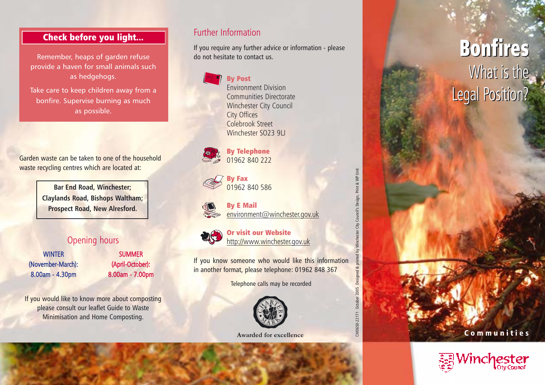## Check before you light...

Remember, heaps of garden refuse provide a haven for small animals such as hedgehogs.

Take care to keep children away from a bonfire. Supervise burning as much as possible.

Garden waste can be taken to one of the household waste recycling centres which are located at:

> **Bar End Road, Winchester; Claylands Road, Bishops Waltham; Prospect Road, New Alresford.**

### Opening hours

**WINTER** (November-March): 8.00am - 4.30pm

SUM MER (April-October): 8.00am - 7.00pm

If you would like to know more about composting please consult our leaflet Guide to Waste Minimisation and Home Composting.

### Further Information

If you require any further advice or information - please do not hesitate to contact us.

> By Post Environment Division Communities Directorate Winchester City Council City Offices Colebrook Street Winchester SO23 9LL

By Telephone 01962 840 222

By E Mail





Or visit our Website http://www.winchester.gov.uk

If you know someone who would like this information in another format, please telephone: 01962 848 367

Telephone calls may be recorded



**Awarded for excellence**

# CM0650-22171 October 2005 Designed & printed by Winchester City Council's Design, Print & WP Unit inted by Winchester City Council's Design, Print & WP Unit October 2005 Designed & CM0650-22171

# Bonfires Bonfires What is the What is the Legal Position? Legal Position?

Communities